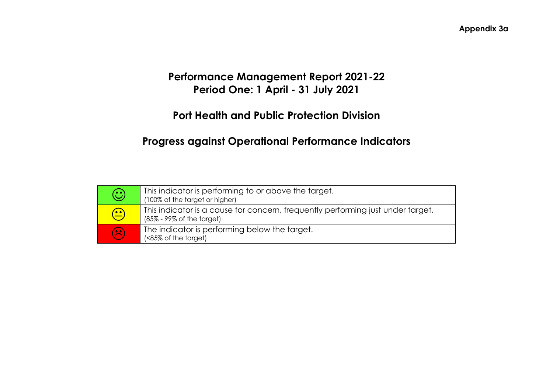# **Performance Management Report 2021-22 Period One: 1 April - 31 July 2021**

# **Port Health and Public Protection Division**

# **Progress against Operational Performance Indicators**

| $\bigodot$ | This indicator is performing to or above the target.<br>(100% of the target or higher)                                   |
|------------|--------------------------------------------------------------------------------------------------------------------------|
| $\bigodot$ | This indicator is a cause for concern, frequently performing just under target.<br>$(85\% - 99\% \text{ of the target})$ |
| $\odot$    | The indicator is performing below the target.<br>(<85% of the target)                                                    |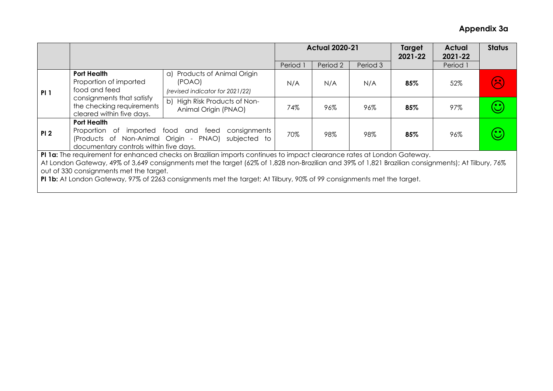|                                                                                                                                                                                                                                                                                                                                                                                                                                                 |                                                                                                                                                                          |                                                                           |                     | <b>Actual 2020-21</b> |          | Target<br>2021-22 | <b>Actual</b><br>2021-22 | <b>Status</b>                            |
|-------------------------------------------------------------------------------------------------------------------------------------------------------------------------------------------------------------------------------------------------------------------------------------------------------------------------------------------------------------------------------------------------------------------------------------------------|--------------------------------------------------------------------------------------------------------------------------------------------------------------------------|---------------------------------------------------------------------------|---------------------|-----------------------|----------|-------------------|--------------------------|------------------------------------------|
|                                                                                                                                                                                                                                                                                                                                                                                                                                                 |                                                                                                                                                                          |                                                                           | Period <sup>1</sup> | Period 2              | Period 3 |                   | Period 1                 |                                          |
| PI <sub>1</sub>                                                                                                                                                                                                                                                                                                                                                                                                                                 | <b>Port Health</b><br>Proportion of imported<br>food and feed                                                                                                            | a) Products of Animal Origin<br>(POAO)<br>(revised indicator for 2021/22) | N/A                 | N/A                   | N/A      | 85%               | 52%                      | $\left( \boldsymbol{\mathcal{F}}\right)$ |
| consignments that satisfy<br>the checking requirements<br>cleared within five days.                                                                                                                                                                                                                                                                                                                                                             |                                                                                                                                                                          | b) High Risk Products of Non-<br>Animal Origin (PNAO)                     | 74%                 | 96%                   | 96%      | 85%               | 97%                      | $\mathbf{\widehat{\mathbf{\upsilon}}}$   |
| PI <sub>2</sub>                                                                                                                                                                                                                                                                                                                                                                                                                                 | <b>Port Health</b><br>Proportion of imported food and feed consignments<br>(Products of Non-Animal Origin - PNAO) subjected to<br>documentary controls within five days. |                                                                           |                     | 98%                   | 98%      | 85%               | 96%                      | $\mathbf{\hat{C}}$                       |
| PI 1a: The requirement for enhanced checks on Brazilian imports continues to impact clearance rates at London Gateway.<br>At London Gateway, 49% of 3,649 consignments met the target (62% of 1,828 non-Brazilian and 39% of 1,821 Brazilian consignments); At Tilbury, 76%<br>out of 330 consignments met the target.<br>PI 1b: At London Gateway, 97% of 2263 consignments met the target; At Tilbury, 90% of 99 consignments met the target. |                                                                                                                                                                          |                                                                           |                     |                       |          |                   |                          |                                          |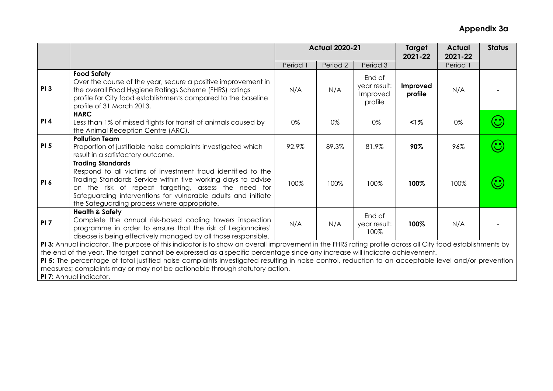|                                                                                                                                                                                                                                                                                                                                                                                                                                                                                                                                                           |                                                                                                                                                                                                                                                                                                                                  | <b>Actual 2020-21</b> |          |                                               | Target<br>2021-22   | <b>Actual</b><br>2021-22 | <b>Status</b> |
|-----------------------------------------------------------------------------------------------------------------------------------------------------------------------------------------------------------------------------------------------------------------------------------------------------------------------------------------------------------------------------------------------------------------------------------------------------------------------------------------------------------------------------------------------------------|----------------------------------------------------------------------------------------------------------------------------------------------------------------------------------------------------------------------------------------------------------------------------------------------------------------------------------|-----------------------|----------|-----------------------------------------------|---------------------|--------------------------|---------------|
|                                                                                                                                                                                                                                                                                                                                                                                                                                                                                                                                                           |                                                                                                                                                                                                                                                                                                                                  | Period 1              | Period 2 | Period 3                                      |                     | Period 1                 |               |
| <b>PI3</b>                                                                                                                                                                                                                                                                                                                                                                                                                                                                                                                                                | <b>Food Safety</b><br>Over the course of the year, secure a positive improvement in<br>the overall Food Hygiene Ratings Scheme (FHRS) ratings<br>profile for City food establishments compared to the baseline<br>profile of 31 March 2013.                                                                                      | N/A                   | N/A      | End of<br>year result:<br>Improved<br>profile | Improved<br>profile | N/A                      |               |
| <b>PI4</b>                                                                                                                                                                                                                                                                                                                                                                                                                                                                                                                                                | <b>HARC</b><br>Less than 1% of missed flights for transit of animals caused by<br>the Animal Reception Centre (ARC).                                                                                                                                                                                                             | 0%                    | 0%       | 0%                                            | $1\%$               | 0%                       |               |
| PI <sub>5</sub>                                                                                                                                                                                                                                                                                                                                                                                                                                                                                                                                           | <b>Pollution Team</b><br>Proportion of justifiable noise complaints investigated which<br>result in a satisfactory outcome.                                                                                                                                                                                                      | 92.9%                 | 89.3%    | 81.9%                                         | 90%                 | 96%                      |               |
| PI <sub>6</sub>                                                                                                                                                                                                                                                                                                                                                                                                                                                                                                                                           | <b>Trading Standards</b><br>Respond to all victims of investment fraud identified to the<br>Trading Standards Service within five working days to advise<br>on the risk of repeat targeting, assess the need for<br>Safeguarding interventions for vulnerable adults and initiate<br>the Safeguarding process where appropriate. | 100%                  | 100%     | 100%                                          | 100%                | 100%                     |               |
| PI <sub>7</sub>                                                                                                                                                                                                                                                                                                                                                                                                                                                                                                                                           | <b>Health &amp; Safety</b><br>Complete the annual risk-based cooling towers inspection<br>programme in order to ensure that the risk of Legionnaires'<br>disease is being effectively managed by all those responsible.                                                                                                          | N/A                   | N/A      | End of<br>year result:<br>100%                | 100%                | N/A                      |               |
| PI 3: Annual indicator. The purpose of this indicator is to show an overall improvement in the FHRS rating profile across all City food establishments by<br>the end of the year. The target cannot be expressed as a specific percentage since any increase will indicate achievement.<br>PI 5: The percentage of total justified noise complaints investigated resulting in noise control, reduction to an acceptable level and/or prevention<br>measures; complaints may or may not be actionable through statutory action.<br>PI 7: Annual indicator. |                                                                                                                                                                                                                                                                                                                                  |                       |          |                                               |                     |                          |               |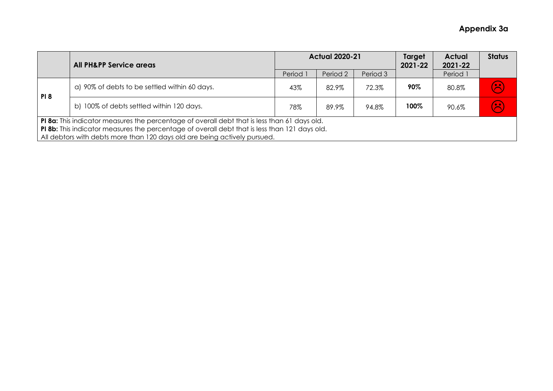|            | <b>All PH&amp;PP Service areas</b>                                                                                                                                                                                                                                         |        | <b>Actual 2020-21</b> |          |      | <b>Actual</b><br>2021-22 | <b>Status</b> |  |
|------------|----------------------------------------------------------------------------------------------------------------------------------------------------------------------------------------------------------------------------------------------------------------------------|--------|-----------------------|----------|------|--------------------------|---------------|--|
|            |                                                                                                                                                                                                                                                                            | Period | Period 2              | Period 3 |      | Period 1                 |               |  |
| <b>PI8</b> | a) 90% of debts to be settled within 60 days.                                                                                                                                                                                                                              | 43%    | 82.9%                 | 72.3%    | 90%  | 80.8%                    | $\odot$       |  |
|            | b) 100% of debts settled within 120 days.                                                                                                                                                                                                                                  | 78%    | 89.9%                 | 94.8%    | 100% | 90.6%                    | 3             |  |
|            | PI 8a: This indicator measures the percentage of overall debt that is less than 61 days old.<br>PI 8b: This indicator measures the percentage of overall debt that is less than 121 days old.<br>All debtors with debts more than 120 days old are being actively pursued. |        |                       |          |      |                          |               |  |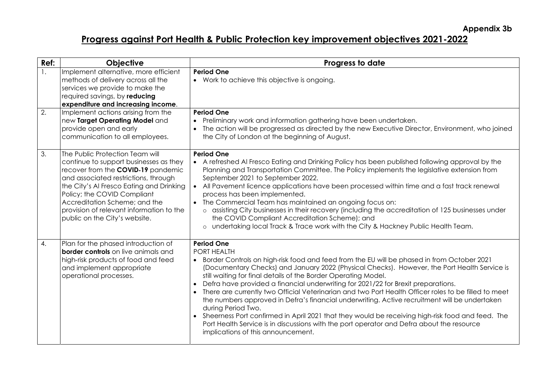**Appendix 3b** 

# **Progress against Port Health & Public Protection key improvement objectives 2021-2022**

| Ref:             | Objective                                                                                                                                                                                                                                                                                                                                        | Progress to date                                                                                                                                                                                                                                                                                                                                                                                                                                                                                                                                                                                                                                                                                                                                                                                                                                                |
|------------------|--------------------------------------------------------------------------------------------------------------------------------------------------------------------------------------------------------------------------------------------------------------------------------------------------------------------------------------------------|-----------------------------------------------------------------------------------------------------------------------------------------------------------------------------------------------------------------------------------------------------------------------------------------------------------------------------------------------------------------------------------------------------------------------------------------------------------------------------------------------------------------------------------------------------------------------------------------------------------------------------------------------------------------------------------------------------------------------------------------------------------------------------------------------------------------------------------------------------------------|
| $\overline{1}$ . | Implement alternative, more efficient<br>methods of delivery across all the<br>services we provide to make the<br>required savings, by reducing<br>expenditure and increasing income.                                                                                                                                                            | <b>Period One</b><br>• Work to achieve this objective is ongoing.                                                                                                                                                                                                                                                                                                                                                                                                                                                                                                                                                                                                                                                                                                                                                                                               |
| 2.               | Implement actions arising from the<br>new Target Operating Model and<br>provide open and early<br>communication to all employees.                                                                                                                                                                                                                | <b>Period One</b><br>Preliminary work and information gathering have been undertaken.<br>The action will be progressed as directed by the new Executive Director, Environment, who joined<br>the City of London at the beginning of August.                                                                                                                                                                                                                                                                                                                                                                                                                                                                                                                                                                                                                     |
| 3.               | The Public Protection Team will<br>continue to support businesses as they<br>recover from the COVID-19 pandemic<br>and associated restrictions, through<br>the City's Al Fresco Eating and Drinking<br>Policy; the COVID Compliant<br>Accreditation Scheme; and the<br>provision of relevant information to the<br>public on the City's website. | <b>Period One</b><br>• A refreshed AI Fresco Eating and Drinking Policy has been published following approval by the<br>Planning and Transportation Committee. The Policy implements the legislative extension from<br>September 2021 to September 2022.<br>All Pavement licence applications have been processed within time and a fast track renewal<br>$\bullet$<br>process has been implemented.<br>The Commercial Team has maintained an ongoing focus on:<br>o assisting City businesses in their recovery (including the accreditation of 125 businesses under<br>the COVID Compliant Accreditation Scheme); and<br>o undertaking local Track & Trace work with the City & Hackney Public Health Team.                                                                                                                                                   |
| $\overline{4}$ . | Plan for the phased introduction of<br><b>border controls</b> on live animals and<br>high-risk products of food and feed<br>and implement appropriate<br>operational processes.                                                                                                                                                                  | <b>Period One</b><br>PORT HEALTH<br>• Border Controls on high-risk food and feed from the EU will be phased in from October 2021<br>(Documentary Checks) and January 2022 (Physical Checks). However, the Port Health Service is<br>still waiting for final details of the Border Operating Model.<br>Defra have provided a financial underwriting for 2021/22 for Brexit preparations.<br>There are currently two Official Veterinarian and two Port Health Officer roles to be filled to meet<br>the numbers approved in Defra's financial underwriting. Active recruitment will be undertaken<br>during Period Two.<br>• Sheerness Port confirmed in April 2021 that they would be receiving high-risk food and feed. The<br>Port Health Service is in discussions with the port operator and Defra about the resource<br>implications of this announcement. |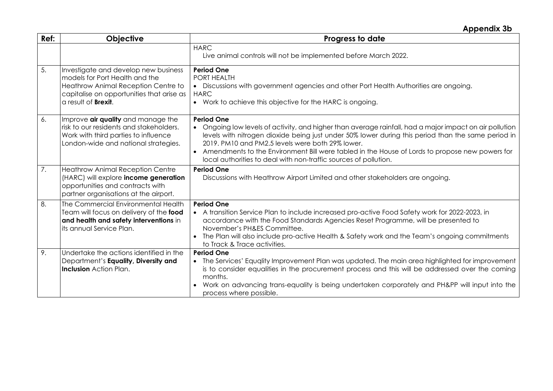## **Appendix 3b**

| Ref: | <b>Objective</b>                                                                                                                                                                         | Progress to date                                                                                                                                                                                                                                                                                                                                                                                                                                                        |
|------|------------------------------------------------------------------------------------------------------------------------------------------------------------------------------------------|-------------------------------------------------------------------------------------------------------------------------------------------------------------------------------------------------------------------------------------------------------------------------------------------------------------------------------------------------------------------------------------------------------------------------------------------------------------------------|
|      |                                                                                                                                                                                          | <b>HARC</b><br>Live animal controls will not be implemented before March 2022.                                                                                                                                                                                                                                                                                                                                                                                          |
| 5.   | Investigate and develop new business<br>models for Port Health and the<br>Heathrow Animal Reception Centre to<br>capitalise on opportunities that arise as<br>a result of <b>Brexit.</b> | <b>Period One</b><br><b>PORT HEALTH</b><br>• Discussions with government agencies and other Port Health Authorities are ongoing.<br><b>HARC</b><br>• Work to achieve this objective for the HARC is ongoing.                                                                                                                                                                                                                                                            |
| 6.   | Improve air quality and manage the<br>risk to our residents and stakeholders.<br>Work with third parties to influence<br>London-wide and national strategies.                            | <b>Period One</b><br>Ongoing low levels of activity, and higher than average rainfall, had a major impact on air pollution<br>levels with nitrogen dioxide being just under 50% lower during this period than the same period in<br>2019. PM10 and PM2.5 levels were both 29% lower.<br>Amendments to the Environment Bill were tabled in the House of Lords to propose new powers for<br>$\bullet$<br>local authorities to deal with non-traffic sources of pollution. |
| 7.   | <b>Heathrow Animal Reception Centre</b><br>(HARC) will explore income generation<br>opportunities and contracts with<br>partner organisations at the airport.                            | <b>Period One</b><br>Discussions with Heathrow Airport Limited and other stakeholders are ongoing.                                                                                                                                                                                                                                                                                                                                                                      |
| 8.   | The Commercial Environmental Health<br>Team will focus on delivery of the food<br>and health and safety interventions in<br>its annual Service Plan.                                     | <b>Period One</b><br>• A transition Service Plan to include increased pro-active Food Safety work for 2022-2023, in<br>accordance with the Food Standards Agencies Reset Programme, will be presented to<br>November's PH&ES Committee.<br>The Plan will also include pro-active Health & Safety work and the Team's ongoing commitments<br>to Track & Trace activities.                                                                                                |
| 9.   | Undertake the actions identified in the<br>Department's Equality, Diversity and<br><b>Inclusion</b> Action Plan.                                                                         | <b>Period One</b><br>• The Services' Equality Improvement Plan was updated. The main area highlighted for improvement<br>is to consider equalities in the procurement process and this will be addressed over the coming<br>months.<br>Work on advancing trans-equality is being undertaken corporately and PH&PP will input into the<br>process where possible.                                                                                                        |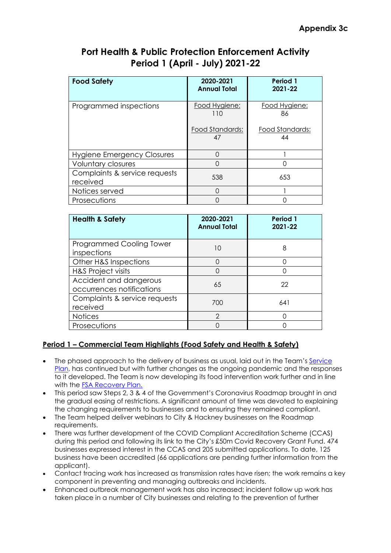| <b>Food Safety</b>                        | 2020-2021<br><b>Annual Total</b>              | Period 1<br>2021-22                          |
|-------------------------------------------|-----------------------------------------------|----------------------------------------------|
| Programmed inspections                    | Food Hygiene:<br>110<br>Food Standards:<br>47 | Food Hygiene:<br>86<br>Food Standards:<br>44 |
|                                           | ∩                                             |                                              |
| Hygiene Emergency Closures                |                                               |                                              |
| Voluntary closures                        | ∩                                             |                                              |
| Complaints & service requests<br>received | 538                                           | 653                                          |
| Notices served                            | ∩                                             |                                              |
| Prosecutions                              |                                               |                                              |

| <b>Health &amp; Safety</b>                          | 2020-2021<br><b>Annual Total</b> | Period 1<br>2021-22 |
|-----------------------------------------------------|----------------------------------|---------------------|
| Programmed Cooling Tower<br>inspections             | 10                               | 8                   |
| Other H&S Inspections                               | ∩                                |                     |
| H&S Project visits                                  |                                  |                     |
| Accident and dangerous<br>occurrences notifications | 65                               | 22                  |
| Complaints & service requests<br>received           | 700                              | 641                 |
| <b>Notices</b>                                      | $\mathcal{P}$                    |                     |
| Prosecutions                                        |                                  |                     |

## **Period 1 – Commercial Team Highlights (Food Safety and Health & Safety)**

- The phased approach to the delivery of business as usual, laid out in the Team's Service Plan, has continued but with further changes as the ongoing pandemic and the responses to it developed. The Team is now developing its food intervention work further and in line with the FSA Recovery Plan.
- This period saw Steps 2, 3 & 4 of the Government's Coronavirus Roadmap brought in and the gradual easing of restrictions. A significant amount of time was devoted to explaining the changing requirements to businesses and to ensuring they remained compliant.
- The Team helped deliver webinars to City & Hackney businesses on the Roadmap requirements.
- There was further development of the COVID Compliant Accreditation Scheme (CCAS) during this period and following its link to the City's £50m Covid Recovery Grant Fund. 474 businesses expressed interest in the CCAS and 205 submitted applications. To date, 125 business have been accredited (66 applications are pending further information from the applicant).
- Contact tracing work has increased as transmission rates have risen; the work remains a key component in preventing and managing outbreaks and incidents.
- Enhanced outbreak management work has also increased; incident follow up work has taken place in a number of City businesses and relating to the prevention of further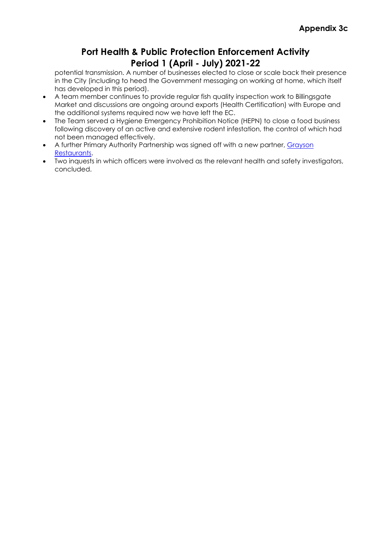potential transmission. A number of businesses elected to close or scale back their presence in the City (including to heed the Government messaging on working at home, which itself has developed in this period).

- A team member continues to provide regular fish quality inspection work to Billingsgate Market and discussions are ongoing around exports (Health Certification) with Europe and the additional systems required now we have left the EC.
- The Team served a Hygiene Emergency Prohibition Notice (HEPN) to close a food business following discovery of an active and extensive rodent infestation, the control of which had not been managed effectively.
- A further Primary Authority Partnership was signed off with a new partner, Grayson Restaurants.
- Two inquests in which officers were involved as the relevant health and safety investigators, concluded.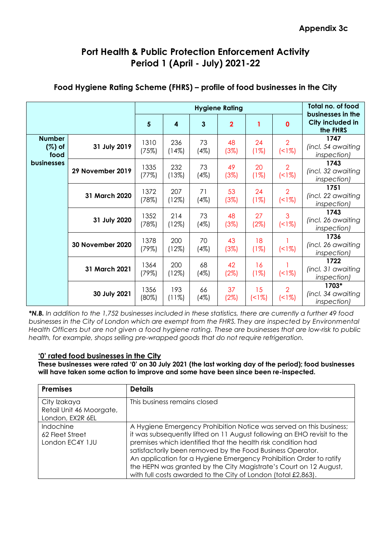|                                    | <b>Hygiene Rating</b> |               |                 |            |                |            | Total no. of food<br>businesses in the |                                            |
|------------------------------------|-----------------------|---------------|-----------------|------------|----------------|------------|----------------------------------------|--------------------------------------------|
|                                    |                       | 5             | 4               | 3          | $\overline{2}$ | 1          | $\mathbf{0}$                           | City included in<br>the FHRS               |
| <b>Number</b><br>$(\%)$ of<br>food | 31 July 2019          | 1310<br>(75%) | 236<br>(14%)    | 73<br>(4%) | 48<br>(3%)     | 24<br>(1%) | $\overline{2}$<br>(18)                 | 1747<br>(incl. 54 awaiting<br>inspection)  |
| businesses                         | 29 November 2019      | 1335<br>(77%) | 232<br>(13%)    | 73<br>(4%) | 49<br>(3%)     | 20<br>(1%) | $\overline{2}$<br>(18)                 | 1743<br>(incl. 32 awaiting<br>inspection)  |
|                                    | 31 March 2020         | 1372<br>(78%) | 207<br>(12%)    | 71<br>(4%) | 53<br>(3%)     | 24<br>(1%) | $\overline{2}$<br>(18)                 | 1751<br>(incl. 22 awaiting<br>inspection)  |
|                                    | 31 July 2020          | 1352<br>(78%) | 214<br>(12%)    | 73<br>(4%) | 48<br>(3%)     | 27<br>(2%) | 3<br>(18)                              | 1743<br>(incl. 26 awaiting<br>inspection)  |
|                                    | 30 November 2020      | 1378<br>(79%) | 200<br>(12%)    | 70<br>(4%) | 43<br>(3%)     | 18<br>(1%) | (18)                                   | 1736<br>(incl. 26 awaiting<br>inspection)  |
|                                    | 31 March 2021         | 1364<br>(79%) | 200<br>(12%)    | 68<br>(4%) | 42<br>(2%)     | 16<br>(1%) | (18)                                   | 1722<br>(incl. 31 awaiting<br>inspection)  |
|                                    | 30 July 2021          | 1356<br>(80%) | 193<br>$(11\%)$ | 66<br>(4%) | 37<br>(2%)     | 15<br>(18) | $\overline{2}$<br>(<1%)                | 1703*<br>(incl. 34 awaiting<br>inspection) |

## **Food Hygiene Rating Scheme (FHRS) – profile of food businesses in the City**

*\*N.B. In addition to the 1,752 businesses included in these statistics, there are currently a further 49 food businesses in the City of London which are exempt from the FHRS. They are inspected by Environmental Health Officers but are not given a food hygiene rating. These are businesses that are low-risk to public health, for example, shops selling pre-wrapped goods that do not require refrigeration.* 

#### **'0' rated food businesses in the City**

**These businesses were rated '0' on 30 July 2021 (the last working day of the period); food businesses will have taken some action to improve and some have been since been re-inspected.** 

| <b>Premises</b>                                              | <b>Details</b>                                                                                                                                                                                                                                                                                                                                                                                                                                                                           |
|--------------------------------------------------------------|------------------------------------------------------------------------------------------------------------------------------------------------------------------------------------------------------------------------------------------------------------------------------------------------------------------------------------------------------------------------------------------------------------------------------------------------------------------------------------------|
| City Izakaya<br>Retail Unit 46 Moorgate,<br>London, EX2R 6EL | This business remains closed                                                                                                                                                                                                                                                                                                                                                                                                                                                             |
| Indochine<br>62 Fleet Street<br>London EC4Y 1JU              | A Hygiene Emergency Prohibition Notice was served on this business;<br>it was subsequently lifted on 11 August following an EHO revisit to the<br>premises which identified that the health risk condition had<br>satisfactorily been removed by the Food Business Operator.<br>An application for a Hygiene Emergency Prohibition Order to ratify<br>the HEPN was granted by the City Magistrate's Court on 12 August,<br>with full costs awarded to the City of London (total £2,863). |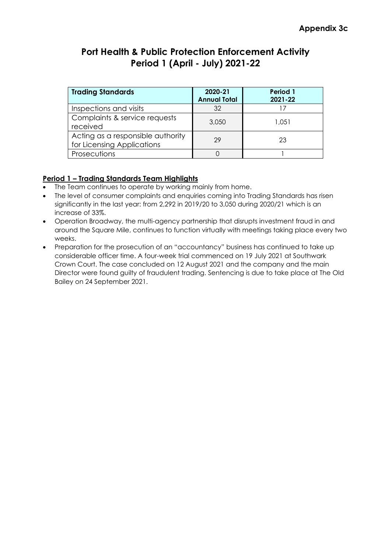| <b>Trading Standards</b>                                        | 2020-21<br><b>Annual Total</b> | Period 1<br>2021-22 |
|-----------------------------------------------------------------|--------------------------------|---------------------|
| Inspections and visits                                          | 32                             |                     |
| Complaints & service requests<br>received                       | 3,050                          | 1.051               |
| Acting as a responsible authority<br>for Licensing Applications | 29                             | 23                  |
| Prosecutions                                                    |                                |                     |

### **Period 1 – Trading Standards Team Highlights**

- The Team continues to operate by working mainly from home.
- The level of consumer complaints and enquiries coming into Trading Standards has risen significantly in the last year: from 2,292 in 2019/20 to 3,050 during 2020/21 which is an increase of 33%.
- Operation Broadway, the multi-agency partnership that disrupts investment fraud in and around the Square Mile, continues to function virtually with meetings taking place every two weeks.
- Preparation for the prosecution of an "accountancy" business has continued to take up considerable officer time. A four-week trial commenced on 19 July 2021 at Southwark Crown Court. The case concluded on 12 August 2021 and the company and the main Director were found guilty of fraudulent trading. Sentencing is due to take place at The Old Bailey on 24 September 2021.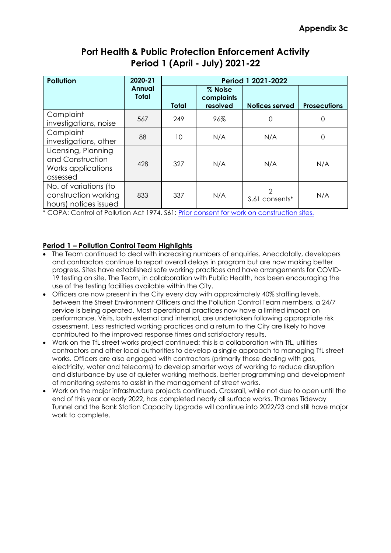| <b>Pollution</b>                                                          | 2020-21                       | Period 1 2021-2022 |                                   |                                 |                     |  |  |  |
|---------------------------------------------------------------------------|-------------------------------|--------------------|-----------------------------------|---------------------------------|---------------------|--|--|--|
|                                                                           | <b>Annual</b><br><b>Total</b> | <b>Total</b>       | % Noise<br>complaints<br>resolved | <b>Notices served</b>           | <b>Prosecutions</b> |  |  |  |
| Complaint<br>investigations, noise                                        | 567                           | 249                | 96%                               | $\Omega$                        | 0                   |  |  |  |
| Complaint<br>investigations, other                                        | 88                            | 10                 | N/A                               | N/A                             | 0                   |  |  |  |
| Licensing, Planning<br>and Construction<br>Works applications<br>assessed | 428                           | 327                | N/A                               | N/A                             | N/A                 |  |  |  |
| No. of variations (to<br>construction working<br>hours) notices issued    | 833                           | 337                | N/A                               | $\mathcal{P}$<br>S.61 consents* | N/A                 |  |  |  |

\* COPA: Control of Pollution Act 1974. S61: Prior consent for work on construction sites.

### **Period 1 – Pollution Control Team Highlights**

- The Team continued to deal with increasing numbers of enquiries. Anecdotally, developers and contractors continue to report overall delays in program but are now making better progress. Sites have established safe working practices and have arrangements for COVID-19 testing on site. The Team, in collaboration with Public Health, has been encouraging the use of the testing facilities available within the City.
- Officers are now present in the City every day with approximately 40% staffing levels. Between the Street Environment Officers and the Pollution Control Team members, a 24/7 service is being operated. Most operational practices now have a limited impact on performance. Visits, both external and internal, are undertaken following appropriate risk assessment. Less restricted working practices and a return to the City are likely to have contributed to the improved response times and satisfactory results.
- Work on the TfL street works project continued: this is a collaboration with TfL, utilities contractors and other local authorities to develop a single approach to managing TfL street works. Officers are also engaged with contractors (primarily those dealing with gas, electricity, water and telecoms) to develop smarter ways of working to reduce disruption and disturbance by use of quieter working methods, better programming and development of monitoring systems to assist in the management of street works.
- Work on the major infrastructure projects continued. Crossrail, while not due to open until the end of this year or early 2022, has completed nearly all surface works. Thames Tideway Tunnel and the Bank Station Capacity Upgrade will continue into 2022/23 and still have major work to complete.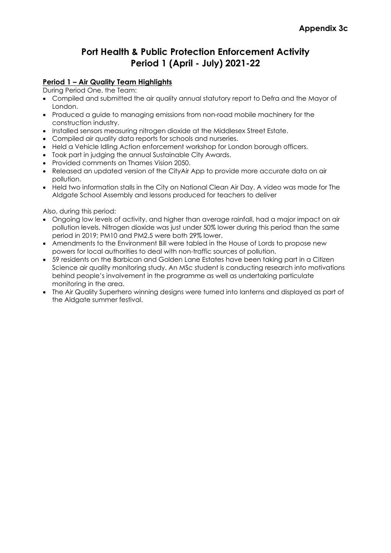#### **Period 1 – Air Quality Team Highlights**

During Period One, the Team:

- Compiled and submitted the air quality annual statutory report to Defra and the Mayor of London.
- Produced a guide to managing emissions from non-road mobile machinery for the construction industry.
- Installed sensors measuring nitrogen dioxide at the Middlesex Street Estate.
- Compiled air quality data reports for schools and nurseries.
- Held a Vehicle Idling Action enforcement workshop for London borough officers.
- Took part in judging the annual Sustainable City Awards.
- Provided comments on Thames Vision 2050.
- Released an updated version of the CityAir App to provide more accurate data on air pollution.
- Held two information stalls in the City on National Clean Air Day. A video was made for The Aldgate School Assembly and lessons produced for teachers to deliver

Also, during this period:

- Ongoing low levels of activity, and higher than average rainfall, had a major impact on air pollution levels. Nitrogen dioxide was just under 50% lower during this period than the same period in 2019; PM10 and PM2.5 were both 29% lower.
- Amendments to the Environment Bill were tabled in the House of Lords to propose new powers for local authorities to deal with non-traffic sources of pollution.
- 59 residents on the Barbican and Golden Lane Estates have been taking part in a Citizen Science air quality monitoring study. An MSc student is conducting research into motivations behind people's involvement in the programme as well as undertaking particulate monitoring in the area.
- The Air Quality Superhero winning designs were turned into lanterns and displayed as part of the Aldgate summer festival.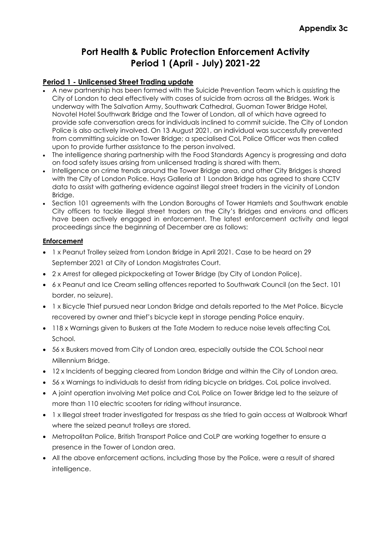#### **Period 1 - Unlicensed Street Trading update**

- A new partnership has been formed with the Suicide Prevention Team which is assisting the City of London to deal effectively with cases of suicide from across all the Bridges. Work is underway with The Salvation Army, Southwark Cathedral, Guoman Tower Bridge Hotel, Novotel Hotel Southwark Bridge and the Tower of London, all of which have agreed to provide safe conversation areas for individuals inclined to commit suicide. The City of London Police is also actively involved. On 13 August 2021, an individual was successfully prevented from committing suicide on Tower Bridge; a specialised CoL Police Officer was then called upon to provide further assistance to the person involved.
- The intelligence sharing partnership with the Food Standards Agency is progressing and data on food safety issues arising from unlicensed trading is shared with them.
- Intelligence on crime trends around the Tower Bridge area, and other City Bridges is shared with the City of London Police. Hays Galleria at 1 London Bridge has agreed to share CCTV data to assist with gathering evidence against illegal street traders in the vicinity of London Bridge.
- Section 101 agreements with the London Boroughs of Tower Hamlets and Southwark enable City officers to tackle illegal street traders on the City's Bridges and environs and officers have been actively engaged in enforcement. The latest enforcement activity and legal proceedings since the beginning of December are as follows:

#### **Enforcement**

- 1 x Peanut Trolley seized from London Bridge in April 2021. Case to be heard on 29 September 2021 at City of London Magistrates Court.
- 2 x Arrest for alleged pickpocketing at Tower Bridge (by City of London Police).
- 6 x Peanut and Ice Cream selling offences reported to Southwark Council (on the Sect. 101 border, no seizure).
- 1 x Bicycle Thief pursued near London Bridge and details reported to the Met Police. Bicycle recovered by owner and thief's bicycle kept in storage pending Police enquiry.
- 118 x Warnings given to Buskers at the Tate Modern to reduce noise levels affecting CoL School.
- 56 x Buskers moved from City of London area, especially outside the COL School near Millennium Bridge.
- 12 x Incidents of begging cleared from London Bridge and within the City of London area.
- 56 x Warnings to individuals to desist from riding bicycle on bridges. CoL police involved.
- A joint operation involving Met police and CoL Police on Tower Bridge led to the seizure of more than 110 electric scooters for riding without insurance.
- 1 x Illegal street trader investigated for trespass as she tried to gain access at Walbrook Wharf where the seized peanut trolleys are stored.
- Metropolitan Police, British Transport Police and CoLP are working together to ensure a presence in the Tower of London area.
- All the above enforcement actions, including those by the Police, were a result of shared intelligence.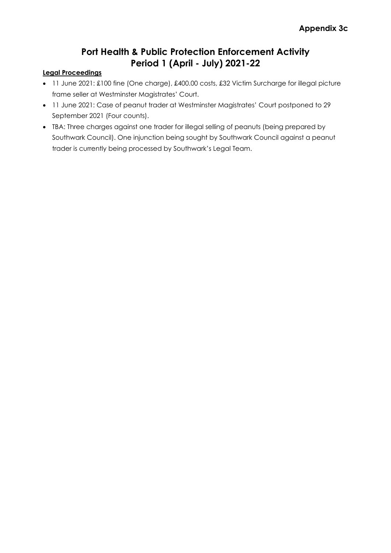#### **Legal Proceedings**

- 11 June 2021: £100 fine (One charge), £400.00 costs, £32 Victim Surcharge for illegal picture frame seller at Westminster Magistrates' Court.
- 11 June 2021: Case of peanut trader at Westminster Magistrates' Court postponed to 29 September 2021 (Four counts).
- TBA: Three charges against one trader for illegal selling of peanuts (being prepared by Southwark Council). One injunction being sought by Southwark Council against a peanut trader is currently being processed by Southwark's Legal Team.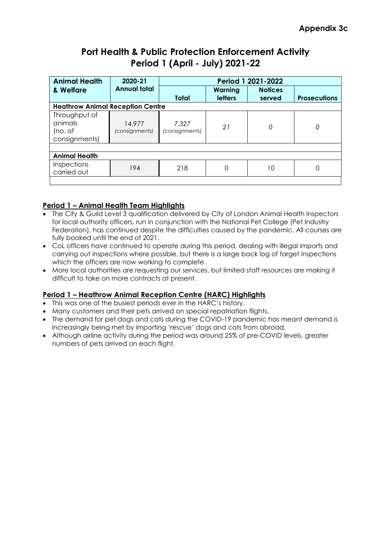| <b>Animal Health</b>                                                                     | 2020-21                  | Period 1 2021-2022      |                           |                |   |  |  |  |  |
|------------------------------------------------------------------------------------------|--------------------------|-------------------------|---------------------------|----------------|---|--|--|--|--|
| & Welfare                                                                                | <b>Annual total</b>      |                         | Warning<br><b>letters</b> | <b>Notices</b> |   |  |  |  |  |
| <b>Total</b><br><b>Prosecutions</b><br>served<br><b>Heathrow Animal Reception Centre</b> |                          |                         |                           |                |   |  |  |  |  |
| Throughput of<br>animals<br>(no. of<br>consignments)                                     | 14,977<br>(consignments) | 7,327<br>(consignments) | 21                        | 0              | 0 |  |  |  |  |
|                                                                                          |                          |                         |                           |                |   |  |  |  |  |
| <b>Animal Health</b>                                                                     |                          |                         |                           |                |   |  |  |  |  |
| <b>Inspections</b><br>carried out                                                        | 194                      | 218                     |                           | 10             |   |  |  |  |  |
|                                                                                          |                          |                         |                           |                |   |  |  |  |  |

### **Period 1 – Animal Health Team Highlights**

- The City & Guild Level 3 qualification delivered by City of London Animal Health Inspectors for local authority officers, run in conjunction with the National Pet College (Pet Industry Federation), has continued despite the difficulties caused by the pandemic. All courses are fully booked until the end of 2021.
- CoL officers have continued to operate during this period, dealing with illegal imports and carrying out inspections where possible, but there is a large back log of target inspections which the officers are now working to complete.
- More local authorities are requesting our services, but limited staff resources are making it difficult to take on more contracts at present.

#### **Period 1 – Heathrow Animal Reception Centre (HARC) Highlights**

- This was one of the busiest periods ever in the HARC's history.
- Many customers and their pets arrived on special repatriation flights.
- The demand for pet dogs and cats during the COVID-19 pandemic has meant demand is increasingly being met by importing 'rescue' dogs and cats from abroad.
- Although airline activity during the period was around 25% of pre-COVID levels, greater numbers of pets arrived on each flight.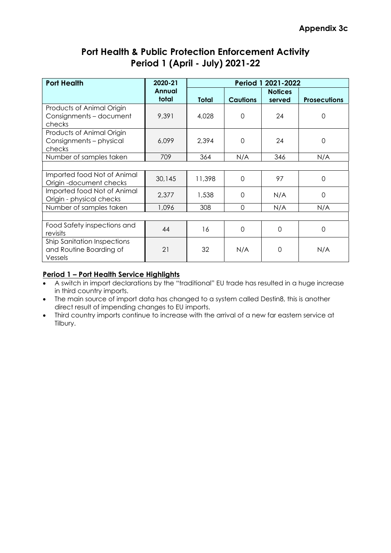| <b>Port Health</b>                                                       | 2020-21         | Period 1 2021-2022              |          |                          |                     |  |  |  |
|--------------------------------------------------------------------------|-----------------|---------------------------------|----------|--------------------------|---------------------|--|--|--|
|                                                                          | Annual<br>total | <b>Cautions</b><br><b>Total</b> |          | <b>Notices</b><br>served | <b>Prosecutions</b> |  |  |  |
| Products of Animal Origin<br>Consignments - document<br>checks           | 9,391           | 4,028                           | 0        | 24                       | 0                   |  |  |  |
| Products of Animal Origin<br>Consignments - physical<br>checks           | 6,099           | 2,394                           | $\Omega$ | 24                       | 0                   |  |  |  |
| Number of samples taken                                                  | 709             | 364                             | N/A      | 346                      | N/A                 |  |  |  |
|                                                                          |                 |                                 |          |                          |                     |  |  |  |
| Imported food Not of Animal<br>Origin-document checks                    | 30,145          | 11,398                          | $\Omega$ | 97                       | 0                   |  |  |  |
| Imported food Not of Animal<br>Origin - physical checks                  | 2,377           | 1,538                           | $\Omega$ | N/A                      | 0                   |  |  |  |
| Number of samples taken                                                  | 1,096           | 308                             | $\Omega$ | N/A                      | N/A                 |  |  |  |
|                                                                          |                 |                                 |          |                          |                     |  |  |  |
| Food Safety inspections and<br>revisits                                  | 44              | 16                              | $\Omega$ | $\mathbf 0$              | 0                   |  |  |  |
| <b>Ship Sanitation Inspections</b><br>and Routine Boarding of<br>Vessels | 21              | 32                              | N/A      | 0                        | N/A                 |  |  |  |

### **Period 1 – Port Health Service Highlights**

- A switch in import declarations by the "traditional" EU trade has resulted in a huge increase in third country imports.
- The main source of import data has changed to a system called Destin8, this is another direct result of impending changes to EU imports.
- Third country imports continue to increase with the arrival of a new far eastern service at Tilbury.